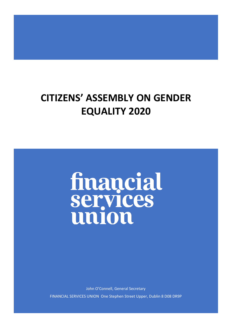# **CITIZENS' ASSEMBLY ON GENDER EQUALITY 2020**

# financial<br>services union

John O'Connell, General Secretary FINANCIAL SERVICES UNION One Stephen Street Upper, Dublin 8 D08 DR9P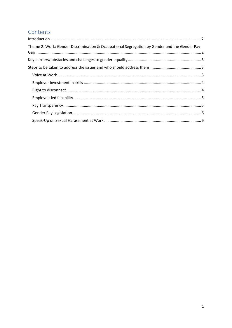# Contents

| Theme 2: Work: Gender Discrimination & Occupational Segregation by Gender and the Gender Pay |  |
|----------------------------------------------------------------------------------------------|--|
|                                                                                              |  |
|                                                                                              |  |
|                                                                                              |  |
|                                                                                              |  |
|                                                                                              |  |
|                                                                                              |  |
|                                                                                              |  |
|                                                                                              |  |
|                                                                                              |  |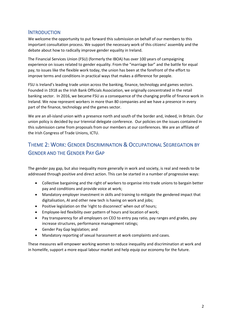### <span id="page-2-0"></span>**INTRODUCTION**

We welcome the opportunity to put forward this submission on behalf of our members to this important consultation process. We support the necessary work of this citizens' assembly and the debate about how to radically improve gender equality in Ireland.

The Financial Services Union (FSU) (formerly the IBOA) has over 100 years of campaigning experience on issues related to gender equality. From the "marriage bar" and the battle for equal pay, to issues like the flexible work today, the union has been at the forefront of the effort to improve terms and conditions in practical ways that makes a difference for people.

FSU is Ireland's leading trade union across the banking, finance, technology and games sectors. Founded in 1918 as the Irish Bank Officials Association, we originally concentrated in the retail banking sector. In 2016, we became FSU as a consequence of the changing profile of finance work in Ireland. We now represent workers in more than 80 companies and we have a presence in every part of the finance, technology and the games sector.

We are an all-island union with a presence north and south of the border and, indeed, in Britain. Our union policy is decided by our triennial delegate conference. Our policies on the issues contained in this submission came from proposals from our members at our conferences. We are an affiliate of the Irish Congress of Trade Unions, ICTU.

# <span id="page-2-1"></span>THEME 2: WORK: GENDER DISCRIMINATION & OCCUPATIONAL SEGREGATION BY GENDER AND THE GENDER PAY GAP

The gender pay gap, but also inequality more generally in work and society, is real and needs to be addressed through positive and direct action. This can be started in a number of progressive ways:

- Collective bargaining and the right of workers to organise into trade unions to bargain better pay and conditions and provide voice at work;
- Mandatory employer investment in skills and training to mitigate the gendered impact that digitalisation, AI and other new tech is having on work and jobs;
- Positive legislation on the 'right to disconnect' when out of hours;
- Employee-led flexibility over pattern of hours and location of work;
- Pay transparency for all employers on CEO to entry pay ratio, pay ranges and grades, pay increase structures, performance management ratings;
- Gender Pay Gap legislation; and
- Mandatory reporting of sexual harassment at work complaints and cases.

These measures will empower working women to reduce inequality and discrimination at work and in homelife, support a more equal labour market and help equip our economy for the future.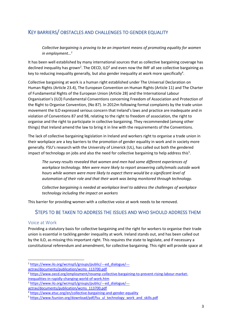## <span id="page-3-0"></span>KEY BARRIERS/ OBSTACLES AND CHALLENGES TO GENDER EQUALITY

*Collective bargaining is proving to be an important means of promoting equality for women in employment…<sup>1</sup>*

It has been well established by many international sources that as collective bargaining coverage has declined inequality has grown<sup>2</sup>. The OECD, ILO<sup>3</sup> and even now the IMF all see collective bargaining as key to reducing inequality generally, but also gender inequality at work more specifically<sup>4</sup>.

Collective bargaining at work is a human right established under The Universal Declaration on Human Rights (Article 23.4), The European Convention on Human Rights (Article 11) and The Charter of Fundamental Rights of the European Union (Article 28) and the International Labour Organisation's (ILO) Fundamental Conventions concerning Freedom of Association and Protection of the Right to Organise Convention, (No 87). In 2012m following formal complaints by the trade union movement the ILO expressed serious concern that Ireland's laws and practice are inadequate and in violation of Conventions 87 and 98, relating to the right to freedom of association, the right to organise and the right to participate in collective bargaining. They recommended (among other things) that Ireland amend the law to bring it in line with the requirements of the Conventions.

The lack of collective bargaining legislation in Ireland and workers right to organise a trade union in their workplace are a key barriers to the promotion of gender equality in work and in society more generally. FSU's research with the University of Limerick (UL), has called out both the gendered impact of technology on jobs and also the need for collective bargaining to help address this<sup>5</sup>.

*The survey results revealed that women and men had some different experiences of workplace technology. Men were more likely to report answering calls/emails outside work hours while women were more likely to expect there would be a significant level of automation of their role and that their work was being monitored through technology.*

*Collective bargaining is needed at workplace level to address the challenges of workplace technology including the impact on workers*

This barrier for providing women with a collective voice at work needs to be removed.

#### <span id="page-3-1"></span>STEPS TO BE TAKEN TO ADDRESS THE ISSUES AND WHO SHOULD ADDRESS THEM

#### <span id="page-3-2"></span>Voice at Work

Providing a statutory basis for collective bargaining and the right for workers to organise their trade union is essential in tackling gender inequality at work. Ireland stands out, and has been called out by the ILO, as missing this important right. This requires the state to legislate, and if necessary a constitutional referendum and amendment, for collective bargaining. This right will provide space at

[actrav/documents/publication/wcms\\_113700.pdf](https://www.ilo.org/wcmsp5/groups/public/---ed_dialogue/---actrav/documents/publication/wcms_113700.pdf)

<sup>1</sup> [https://www.ilo.org/wcmsp5/groups/public/---ed\\_dialogue/---](https://www.ilo.org/wcmsp5/groups/public/---ed_dialogue/---actrav/documents/publication/wcms_113700.pdf)

[actrav/documents/publication/wcms\\_113700.pdf](https://www.ilo.org/wcmsp5/groups/public/---ed_dialogue/---actrav/documents/publication/wcms_113700.pdf)

<sup>&</sup>lt;sup>2</sup> [https://www.oecd.org/employment/revamp-collective-bargaining-to-prevent-rising-labour-market](https://www.oecd.org/employment/revamp-collective-bargaining-to-prevent-rising-labour-market-inequalities-in-rapidly-changing-world-of-work.htm)[inequalities-in-rapidly-changing-world-of-work.htm](https://www.oecd.org/employment/revamp-collective-bargaining-to-prevent-rising-labour-market-inequalities-in-rapidly-changing-world-of-work.htm)

<sup>&</sup>lt;sup>3</sup> [https://www.ilo.org/wcmsp5/groups/public/---ed\\_dialogue/---](https://www.ilo.org/wcmsp5/groups/public/---ed_dialogue/---actrav/documents/publication/wcms_113700.pdf)

<sup>4</sup> <https://www.etuc.org/en/collective-bargaining-and-gender-equality>

<sup>&</sup>lt;sup>5</sup> [https://www.fsunion.org/download/pdf/fsu\\_ul\\_technology\\_work\\_and\\_skills.pdf](https://www.fsunion.org/download/pdf/fsu_ul_technology_work_and_skills.pdf)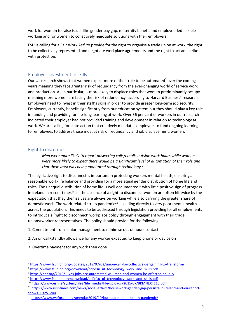work for women to raise issues like gender pay gap, maternity benefit and employee-led flexible working and for women to collectively negotiate solutions with their employers.

FSU is calling for a Fair Work Act<sup>6</sup> to provide for the right to organise a trade union at work, the right to be collectively represented and negotiate workplace agreements and the right to act and strike with protection.

#### <span id="page-4-0"></span>Employer investment in skills

Our UL research shows that women expect more of their role to be automated<sup>7</sup> over the coming years meaning they face greater risk of redundancy from the ever-changing world of service work and production. AI, in particular, is more likely to displace roles that women predominantly occupy meaning more women are facing the risk of redundancy, according to Harvard Business<sup>8</sup> research. Employers need to invest in their staff's skills in order to provide greater long-term job security. Employers, currently, benefit significantly from our education system but they should play a key role in funding and providing for life-long learning at work. Over 36 per cent of workers in our research indicated their employer had not provided training and development in relation to technology at work. We are calling for state action that creatively mandates employers to fund ongoing learning for employees to address those most at risk of redundancy and job displacement, women.

#### <span id="page-4-1"></span>Right to disconnect

*Men were more likely to report answering calls/emails outside work hours while women were more likely to expect there would be a significant level of automation of their role and that their work was being monitored through technology.<sup>9</sup>*

The legislative right to disconnect is important in protecting workers mental health, ensuring a reasonable work-life balance and providing for a more equal gender distribution of home life and roles. The unequal distribution of home life is well documented<sup>10</sup> with little positive sign of progress in Ireland in recent times<sup>11</sup>. In the absence of a right to disconnect women are often hit twice by the expectation that they themselves are always on working while also carrying the greater share of domestic work. The work-related stress pandemic<sup>12</sup> is leading directly to very poor mental health across the population. This needs to be addressed through legislation providing for all employments to introduce a 'right to disconnect' workplace policy through engagement with their trade unions/worker representatives. The policy should provide for the following:

- 1. Commitment from senior management to minimise out of hours contact
- 2. An on-call/standby allowance for any worker expected to keep phone or device on
- 3. Overtime payment for any work then done

<sup>6</sup> <https://www.fsunion.org/updates/2019/07/02/union-call-for-collective-bargaining-to-transform/>

<sup>&</sup>lt;sup>7</sup> [https://www.fsunion.org/download/pdf/fsu\\_ul\\_technology\\_work\\_and\\_skills.pdf](https://www.fsunion.org/download/pdf/fsu_ul_technology_work_and_skills.pdf)

<sup>8</sup> <https://hbr.org/2019/11/as-jobs-are-automated-will-men-and-women-be-affected-equally>

<sup>&</sup>lt;sup>9</sup> [https://www.fsunion.org/download/pdf/fsu\\_ul\\_technology\\_work\\_and\\_skills.pdf](https://www.fsunion.org/download/pdf/fsu_ul_technology_work_and_skills.pdf)

<sup>10</sup> <https://www.esri.ie/system/files?file=media/file-uploads/2015-07/BKMNEXT113.pdf>

<sup>11</sup> [https://www.irishtimes.com/news/social-affairs/housework-gender-gap-persists-in-ireland-and-eu-report](https://www.irishtimes.com/news/social-affairs/housework-gender-gap-persists-in-ireland-and-eu-report-shows-1.3251200)[shows-1.3251200](https://www.irishtimes.com/news/social-affairs/housework-gender-gap-persists-in-ireland-and-eu-report-shows-1.3251200)

<sup>12</sup> <https://www.weforum.org/agenda/2019/10/burnout-mental-health-pandemic/>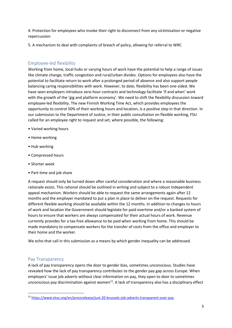4. Protection for employees who invoke their right to disconnect from any victimisation or negative repercussion

5. A mechanism to deal with complaints of breach of policy, allowing for referral to WRC

#### <span id="page-5-0"></span>Employee-led flexibility

Working from home, local hubs or varying hours of work have the potential to help a range of issues like climate change, traffic congestion and rural/urban divides. Options for employees also have the potential to facilitate return to work after a prolonged period of absence and also support people balancing caring responsibilities with work. However, to date, flexibility has been one-sided. We have seen employers introduce zero-hour contracts and technology facilitate 'if and when' work with the growth of the 'gig and platform economy'. We need to shift the flexibility discussion toward employee-led flexibility. The new Finnish Working Time Act, which provides employees the opportunity to control 50% of their working hours and location, is a positive step in that direction. In our submission to the Department of Justice, in their public consultation on flexible working, FSU called for an employee right to request and set, where possible, the following:

- Varied working hours
- Home working
- Hub working
- Compressed hours
- Shorter week
- Part-time and job share

A request should only be turned down after careful consideration and where a reasonable business rationale exists. This rational should be outlined in writing and subject to a robust independent appeal mechanism. Workers should be able to request the same arrangements again after 12 months and the employer mandated to put a plan in place to deliver on the request. Requests for different flexible working should be available within the 12 months. In addition to changes to hours of work and location the Government should legislate for paid overtime and/or a banked system of hours to ensure that workers are always compensated for their actual hours of work. Revenue currently provides for a tax-free allowance to be paid when working from home. This should be made mandatory to compensate workers for the transfer of costs from the office and employer to their home and the worker.

We echo that call in this submission as a means by which gender inequality can be addressed.

#### <span id="page-5-1"></span>Pay Transparency

A lack of pay transparency opens the door to gender bias, sometimes unconscious. Studies have revealed how the lack of pay transparency contributes to the gender pay gap across Europe. When employers' issue job adverts without clear information on pay, they open to door to sometimes unconscious pay discrimination against women<sup>13</sup>. A lack of transparency also has a disciplinary effect

<sup>13</sup> <https://www.etuc.org/en/pressrelease/just-20-brussels-job-adverts-transparent-over-pay>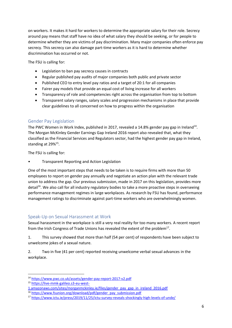on workers. It makes it hard for workers to determine the appropriate salary for their role. Secrecy around pay means that staff have no idea of what salary they should be seeking, or for people to determine whether they are victims of pay discrimination. Many major companies often enforce pay secrecy. This secrecy can also damage part-time workers as it is hard to determine whether discrimination has occurred or not.

The FSU is calling for:

- Legislation to ban pay secrecy causes in contracts
- Regular published pay audits of major companies both public and private sector
- Published CEO to entry level pay ratios and a target of 20:1 for all companies
- Fairer pay models that provide an equal cost of living increase for all workers
- Transparency of role and competencies right across the organisation from top to bottom
- Transparent salary ranges, salary scales and progression mechanisms in place that provide clear guidelines to all concerned on how to progress within the organisation

#### <span id="page-6-0"></span>Gender Pay Legislation

The PWC Women in Work Index, published in 2017, revealed a 14.8% gender pay gap in Ireland<sup>14</sup>. The Morgan McKinley Gender Earnings Gap Ireland 2016 report also revealed that, what they classified as the Financial Services and Regulators sector, had the highest gender pay gap in Ireland, standing at 29%<sup>15</sup>.

The FSU is calling for:

• Transparent Reporting and Action Legislation

One of the most important steps that needs to be taken is to require firms with more than 50 employees to report on gender pay annually and negotiate an action plan with the relevant trade union to address the gap. Our previous submission, made in 2017 on this legislation, provides more detail<sup>16</sup>. We also call for all industry regulatory bodies to take a more proactive steps in overseeing performance management regimes in large workplaces. As research by FSU has found, performance management ratings to discriminate against part-time workers who are overwhelmingly women.

#### <span id="page-6-1"></span>Speak-Up on Sexual Harassment at Work

Sexual harassment in the workplace is still a very real reality for too many workers. A recent report from the Irish Congress of Trade Unions has revealed the extent of the problem<sup>17</sup>.

1. This survey showed that more than half (54 per cent) of respondents have been subject to unwelcome jokes of a sexual nature.

2. Two in five (41 per cent) reported receiving unwelcome verbal sexual advances in the workplace.

<sup>14</sup> <https://www.pwc.co.uk/assets/gender-pay-report-2017-v2.pdf>

<sup>15</sup> [https://live-mmk-galileo.s3-eu-west-](https://live-mmk-galileo.s3-eu-west-1.amazonaws.com/sites/morganmckinley.ie/files/gender_pay_gap_in_ireland_2016.pdf)

<sup>1.</sup>amazonaws.com/sites/morganmckinley.ie/files/gender\_pay\_gap\_in\_ireland\_2016.pdf

<sup>16</sup> [https://www.fsunion.org/download/pdf/gender\\_pay\\_submission.pdf](https://www.fsunion.org/download/pdf/gender_pay_submission.pdf)

<sup>17</sup> <https://www.ictu.ie/press/2019/11/25/ictu-survey-reveals-shockingly-high-levels-of-unde/>